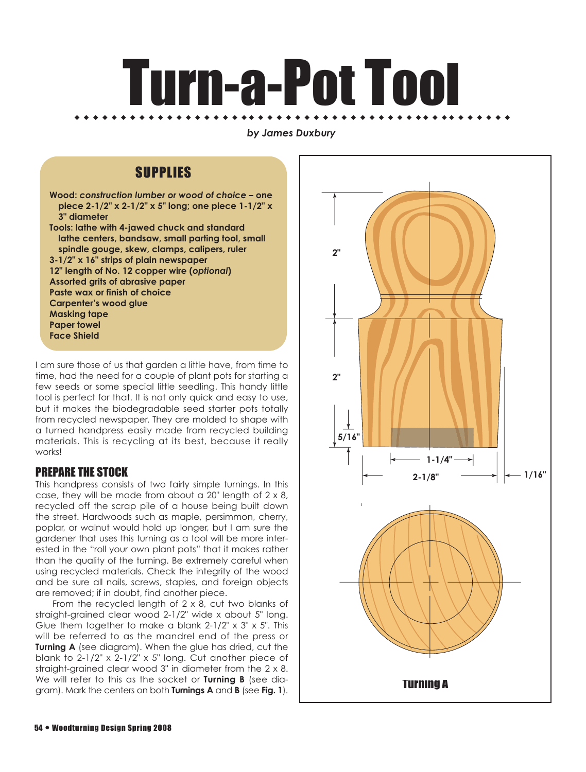# Turn-a-Pot Tool ◆ ◆ ◆ ◆ ◆ ◆ ◆ ◆ ◆ ◆ ◆ ◆ ◆ ◆ ◆ ◆ ◆ ◆ ◆ ◆ ◆ ◆ ◆ ◆ ◆ ◆ ◆ ◆ ◆ ◆ ◆ ◆ ◆ ◆ ◆ ◆ ◆ ◆ ◆ ◆ ◆ ◆ ◆ ◆ ◆ ◆ ◆ ◆

#### *by James Duxbury*

## SUPPLIES

**Wood:** *construction lumber or wood of choice* **– one piece 2-1/2" x 2-1/2" x 5" long; one piece 1-1/2" x 3" diameter Tools: lathe with 4-jawed chuck and standard lathe centers, bandsaw, small parting tool, small spindle gouge, skew, clamps, calipers, ruler 3-1/2" x 16" strips of plain newspaper 12" length of No. 12 copper wire (***optional***) Assorted grits of abrasive paper Paste wax or finish of choice Carpenter's wood glue Masking tape Paper towel Face Shield**

I am sure those of us that garden a little have, from time to time, had the need for a couple of plant pots for starting a few seeds or some special little seedling. This handy little tool is perfect for that. It is not only quick and easy to use, but it makes the biodegradable seed starter pots totally from recycled newspaper. They are molded to shape with a turned handpress easily made from recycled building materials. This is recycling at its best, because it really works!

## PREPARE THE STOCK

This handpress consists of two fairly simple turnings. In this case, they will be made from about a 20" length of 2 x 8, recycled off the scrap pile of a house being built down the street. Hardwoods such as maple, persimmon, cherry, poplar, or walnut would hold up longer, but I am sure the gardener that uses this turning as a tool will be more interested in the "roll your own plant pots" that it makes rather than the quality of the turning. Be extremely careful when using recycled materials. Check the integrity of the wood and be sure all nails, screws, staples, and foreign objects are removed; if in doubt, find another piece.

From the recycled length of 2 x 8, cut two blanks of straight-grained clear wood 2-1/2" wide x about 5" long. Glue them together to make a blank 2-1/2" x 3" x 5". This will be referred to as the mandrel end of the press or **Turning A** (see diagram). When the glue has dried, cut the blank to 2-1/2" x 2-1/2" x 5" long. Cut another piece of straight-grained clear wood 3" in diameter from the 2 x 8. We will refer to this as the socket or **Turning B** (see diagram). Mark the centers on both **Turnings A** and **B** (see **Fig. 1**).

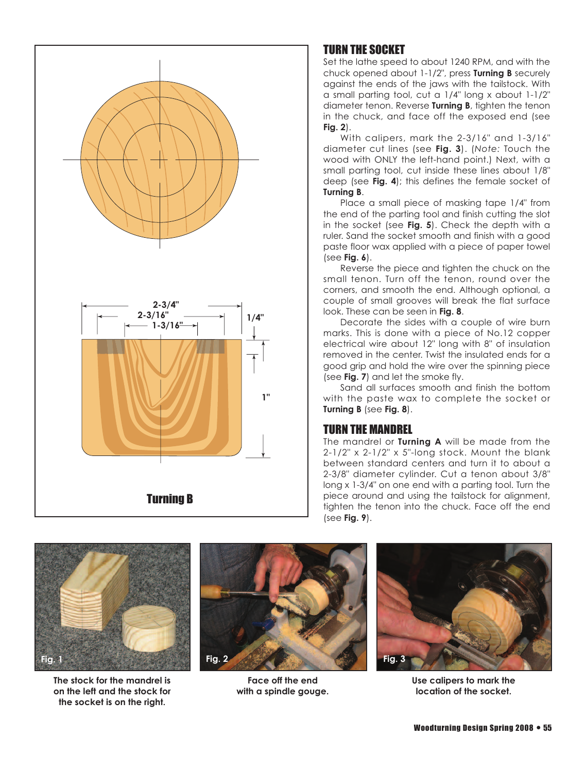

## TURN THE SOCKET

Set the lathe speed to about 1240 RPM, and with the chuck opened about 1-1/2", press **Turning B** securely against the ends of the jaws with the tailstock. With a small parting tool, cut a 1/4" long x about 1-1/2" diameter tenon. Reverse **Turning B**, tighten the tenon in the chuck, and face off the exposed end (see **Fig. 2**).

With calipers, mark the 2-3/16" and 1-3/16" diameter cut lines (see **Fig. 3**). (*Note:* Touch the wood with ONLY the left-hand point.) Next, with a small parting tool, cut inside these lines about 1/8" deep (see **Fig. 4**); this defines the female socket of **Turning B**.

Place a small piece of masking tape 1/4" from the end of the parting tool and finish cutting the slot in the socket (see **Fig. 5**). Check the depth with a ruler. Sand the socket smooth and finish with a good paste floor wax applied with a piece of paper towel (see **Fig. 6**).

Reverse the piece and tighten the chuck on the small tenon. Turn off the tenon, round over the corners, and smooth the end. Although optional, a couple of small grooves will break the flat surface look. These can be seen in **Fig. 8**.

Decorate the sides with a couple of wire burn marks. This is done with a piece of No.12 copper electrical wire about 12" long with 8" of insulation removed in the center. Twist the insulated ends for a good grip and hold the wire over the spinning piece (see **Fig. 7**) and let the smoke fly.

Sand all surfaces smooth and finish the bottom with the paste wax to complete the socket or **Turning B** (see **Fig. 8**).

## TURN THE MANDREL

The mandrel or **Turning A** will be made from the  $2-1/2$ " x  $2-1/2$ " x  $5$ "-long stock. Mount the blank between standard centers and turn it to about a 2-3/8" diameter cylinder. Cut a tenon about 3/8" long x 1-3/4" on one end with a parting tool. Turn the piece around and using the tailstock for alignment, tighten the tenon into the chuck. Face off the end (see **Fig. 9**).



**The stock for the mandrel is on the left and the stock for the socket is on the right.**



**Face off the end with a spindle gouge.**



**Use calipers to mark the location of the socket.**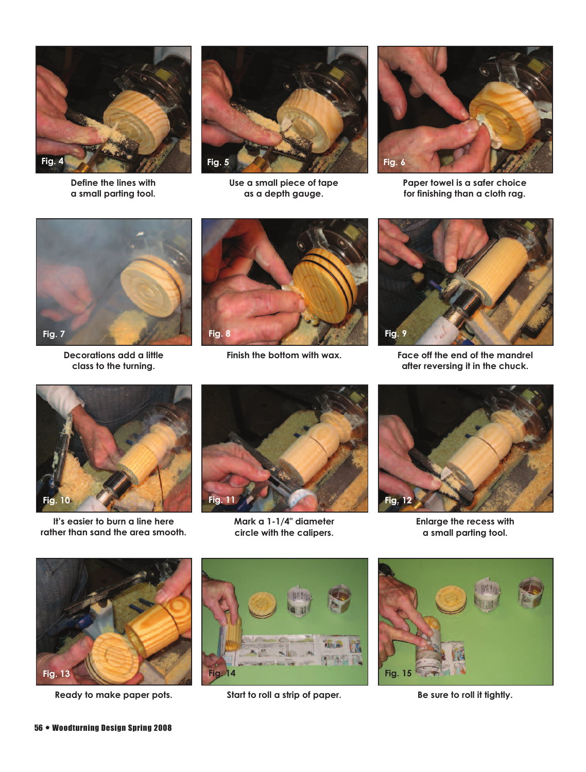

**Define the lines with a small parting tool.**



**Use a small piece of tape as a depth gauge.**



**Paper towel is a safer choice for finishing than a cloth rag.**



**Decorations add a little class to the turning.**



**Finish the bottom with wax.**



**Face off the end of the mandrel after reversing it in the chuck.**



**It's easier to burn a line here rather than sand the area smooth.**



**Mark a 1-1/4" diameter circle with the calipers.**



**Enlarge the recess with a small parting tool.**



**Ready to make paper pots.**



**Start to roll a strip of paper.**



**Be sure to roll it tightly.**